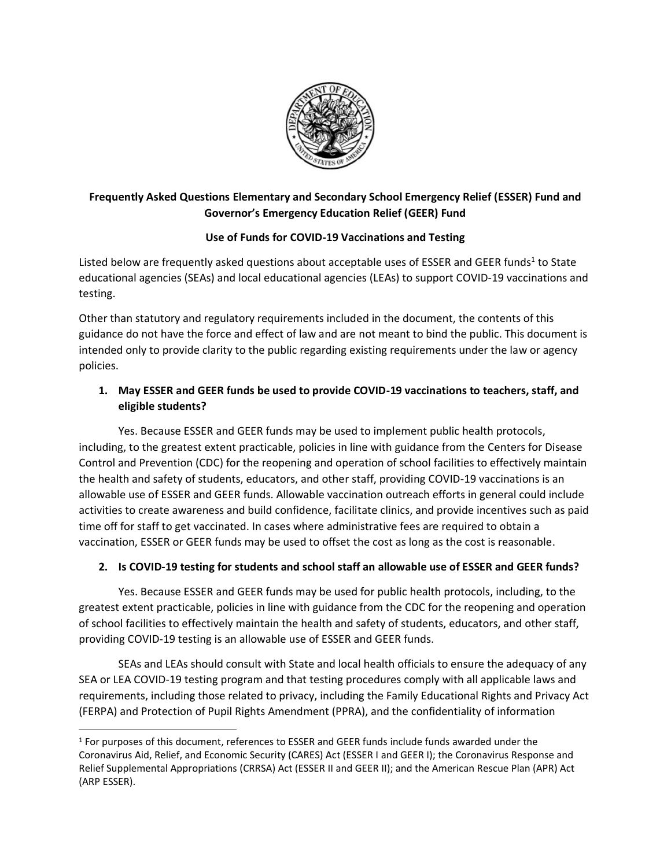

## **Frequently Asked Questions Elementary and Secondary School Emergency Relief (ESSER) Fund and Governor's Emergency Education Relief (GEER) Fund**

## **Use of Funds for COVID-19 Vaccinations and Testing**

Listed below are frequently asked questions about acceptable uses of ESSER and GEER funds<sup>1</sup> to State educational agencies (SEAs) and local educational agencies (LEAs) to support COVID-19 vaccinations and testing.

Other than statutory and regulatory requirements included in the document, the contents of this guidance do not have the force and effect of law and are not meant to bind the public. This document is intended only to provide clarity to the public regarding existing requirements under the law or agency policies.

## **1. May ESSER and GEER funds be used to provide COVID-19 vaccinations to teachers, staff, and eligible students?**

Yes. Because ESSER and GEER funds may be used to implement public health protocols, including, to the greatest extent practicable, policies in line with guidance from the Centers for Disease Control and Prevention (CDC) for the reopening and operation of school facilities to effectively maintain the health and safety of students, educators, and other staff, providing COVID-19 vaccinations is an allowable use of ESSER and GEER funds. Allowable vaccination outreach efforts in general could include activities to create awareness and build confidence, facilitate clinics, and provide incentives such as paid time off for staff to get vaccinated. In cases where administrative fees are required to obtain a vaccination, ESSER or GEER funds may be used to offset the cost as long as the cost is reasonable.

## **2. Is COVID-19 testing for students and school staff an allowable use of ESSER and GEER funds?**

Yes. Because ESSER and GEER funds may be used for public health protocols, including, to the greatest extent practicable, policies in line with guidance from the CDC for the reopening and operation of school facilities to effectively maintain the health and safety of students, educators, and other staff, providing COVID-19 testing is an allowable use of ESSER and GEER funds.

SEAs and LEAs should consult with State and local health officials to ensure the adequacy of any SEA or LEA COVID-19 testing program and that testing procedures comply with all applicable laws and requirements, including those related to privacy, including the Family Educational Rights and Privacy Act (FERPA) and Protection of Pupil Rights Amendment (PPRA), and the confidentiality of information

<sup>&</sup>lt;sup>1</sup> For purposes of this document, references to ESSER and GEER funds include funds awarded under the Coronavirus Aid, Relief, and Economic Security (CARES) Act (ESSER I and GEER I); the Coronavirus Response and Relief Supplemental Appropriations (CRRSA) Act (ESSER II and GEER II); and the American Rescue Plan (APR) Act (ARP ESSER).